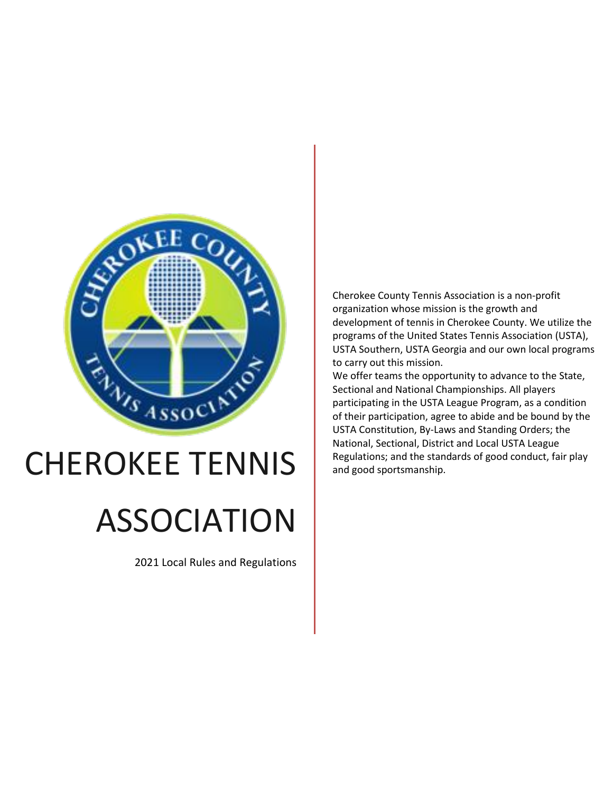

# CHEROKEE TENNIS

# ASSOCIATION

2021 Local Rules and Regulations

Cherokee County Tennis Association is a non-profit organization whose mission is the growth and development of tennis in Cherokee County. We utilize the programs of the United States Tennis Association (USTA), USTA Southern, USTA Georgia and our own local programs to carry out this mission.

We offer teams the opportunity to advance to the State, Sectional and National Championships. All players participating in the USTA League Program, as a condition of their participation, agree to abide and be bound by the USTA Constitution, By-Laws and Standing Orders; the National, Sectional, District and Local USTA League Regulations; and the standards of good conduct, fair play and good sportsmanship.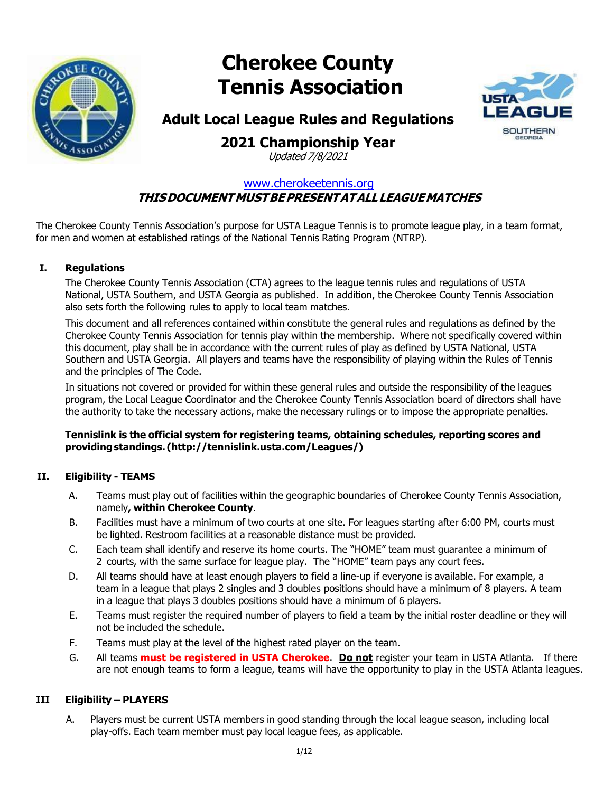

# **Cherokee County Tennis Association**



### **Adult Local League Rules and Regulations**

## **2021 Championship Year**

Updated 7/8/2021

#### [www.cherokeetennis.org](http://www.cherokeetennis.org/) **THISDOCUMENTMUSTBEPRESENTATALLLEAGUEMATCHES**

The Cherokee County Tennis Association's purpose for USTA League Tennis is to promote league play, in a team format, for men and women at established ratings of the National Tennis Rating Program (NTRP).

#### **I. Regulations**

The Cherokee County Tennis Association (CTA) agrees to the league tennis rules and regulations of USTA National, USTA Southern, and USTA Georgia as published. In addition, the Cherokee County Tennis Association also sets forth the following rules to apply to local team matches.

This document and all references contained within constitute the general rules and regulations as defined by the Cherokee County Tennis Association for tennis play within the membership. Where not specifically covered within this document, play shall be in accordance with the current rules of play as defined by USTA National, USTA Southern and USTA Georgia. All players and teams have the responsibility of playing within the Rules of Tennis and the principles of The Code.

In situations not covered or provided for within these general rules and outside the responsibility of the leagues program, the Local League Coordinator and the Cherokee County Tennis Association board of directors shall have the authority to take the necessary actions, make the necessary rulings or to impose the appropriate penalties.

#### **Tennislink is the official system for registering teams, obtaining schedules, reporting scores and providingstandings. [\(http://tennislink.usta.com/Leagues/\)](http://tennislink.usta.com/Leagues/))**

#### **II. Eligibility - TEAMS**

- A. Teams must play out of facilities within the geographic boundaries of Cherokee County Tennis Association, namely**, within Cherokee County**.
- B. Facilities must have a minimum of two courts at one site. For leagues starting after 6:00 PM, courts must be lighted. Restroom facilities at a reasonable distance must be provided.
- C. Each team shall identify and reserve its home courts. The "HOME" team must guarantee a minimum of 2 courts, with the same surface for league play. The "HOME" team pays any court fees.
- D. All teams should have at least enough players to field a line-up if everyone is available. For example, a team in a league that plays 2 singles and 3 doubles positions should have a minimum of 8 players. A team in a league that plays 3 doubles positions should have a minimum of 6 players.
- E. Teams must register the required number of players to field a team by the initial roster deadline or they will not be included the schedule.
- F. Teams must play at the level of the highest rated player on the team.
- G. All teams **must be registered in USTA Cherokee**. **Do not** register your team in USTA Atlanta. If there are not enough teams to form a league, teams will have the opportunity to play in the USTA Atlanta leagues.

#### **III Eligibility – PLAYERS**

A. Players must be current USTA members in good standing through the local league season, including local play-offs. Each team member must pay local league fees, as applicable.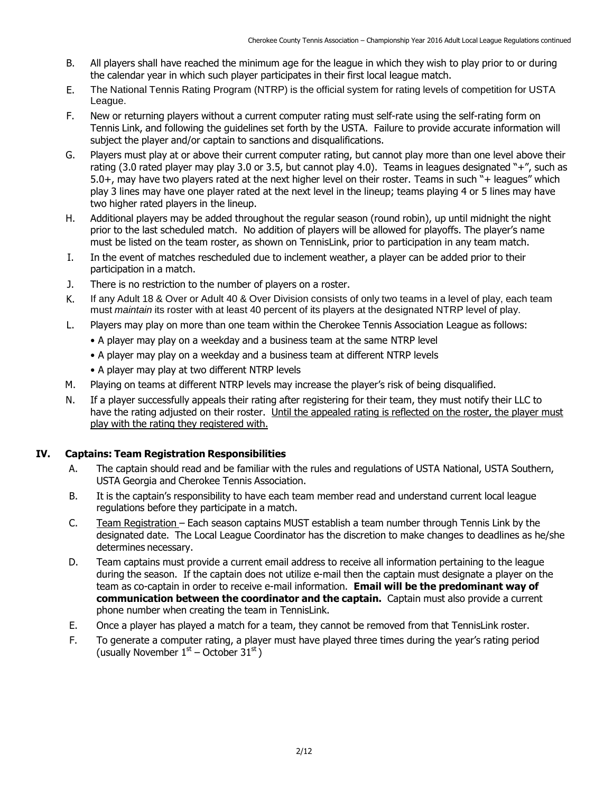- B. All players shall have reached the minimum age for the league in which they wish to play prior to or during the calendar year in which such player participates in their first local league match.
- E. The National Tennis Rating Program (NTRP) is the official system for rating levels of competition for USTA League.
- F. New or returning players without a current computer rating must self-rate using the self-rating form on Tennis Link, and following the guidelines set forth by the USTA. Failure to provide accurate information will subject the player and/or captain to sanctions and disqualifications.
- G. Players must play at or above their current computer rating, but cannot play more than one level above their rating (3.0 rated player may play 3.0 or 3.5, but cannot play 4.0). Teams in leagues designated "+", such as 5.0+, may have two players rated at the next higher level on their roster. Teams in such "+ leagues" which play 3 lines may have one player rated at the next level in the lineup; teams playing 4 or 5 lines may have two higher rated players in the lineup.
- H. Additional players may be added throughout the regular season (round robin), up until midnight the night prior to the last scheduled match. No addition of players will be allowed for playoffs. The player's name must be listed on the team roster, as shown on TennisLink, prior to participation in any team match.
- I. In the event of matches rescheduled due to inclement weather, a player can be added prior to their participation in a match.
- J. There is no restriction to the number of players on a roster.
- K. If any Adult 18 & Over or Adult 40 & Over Division consists of only two teams in a level of play, each team must *maintain* its roster with at least 40 percent of its players at the designated NTRP level of play.
- L. Players may play on more than one team within the Cherokee Tennis Association League as follows:
	- A player may play on a weekday and a business team at the same NTRP level
	- A player may play on a weekday and a business team at different NTRP levels
	- A player may play at two different NTRP levels
- M. Playing on teams at different NTRP levels may increase the player's risk of being disqualified.
- N. If a player successfully appeals their rating after registering for their team, they must notify their LLC to have the rating adjusted on their roster. Until the appealed rating is reflected on the roster, the player must play with the rating they registered with.

#### **IV. Captains: Team Registration Responsibilities**

- A. The captain should read and be familiar with the rules and regulations of USTA National, USTA Southern, USTA Georgia and Cherokee Tennis Association.
- B. It is the captain's responsibility to have each team member read and understand current local league regulations before they participate in a match.
- C. Team Registration Each season captains MUST establish a team number through Tennis Link by the designated date. The Local League Coordinator has the discretion to make changes to deadlines as he/she determines necessary.
- D. Team captains must provide a current email address to receive all information pertaining to the league during the season. If the captain does not utilize e-mail then the captain must designate a player on the team as co-captain in order to receive e-mail information. **Email will be the predominant way of communication between the coordinator and the captain.** Captain must also provide a current phone number when creating the team in TennisLink.
- E. Once a player has played a match for a team, they cannot be removed from that TennisLink roster.
- F. To generate a computer rating, a player must have played three times during the year's rating period (usually November  $1<sup>st</sup>$  – October  $31<sup>st</sup>$ )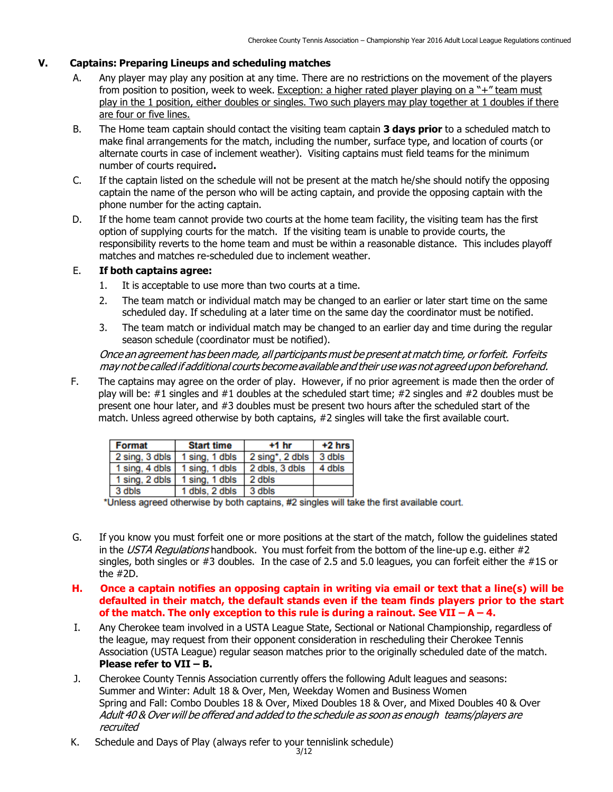#### **V. Captains: Preparing Lineups and scheduling matches**

- A. Any player may play any position at any time. There are no restrictions on the movement of the players from position to position, week to week. Exception: a higher rated player playing on a "+" team must play in the 1 position, either doubles or singles. Two such players may play together at 1 doubles if there are four or five lines.
- B. The Home team captain should contact the visiting team captain **3 days prior** to a scheduled match to make final arrangements for the match, including the number, surface type, and location of courts (or alternate courts in case of inclement weather). Visiting captains must field teams for the minimum number of courts required**.**
- C. If the captain listed on the schedule will not be present at the match he/she should notify the opposing captain the name of the person who will be acting captain, and provide the opposing captain with the phone number for the acting captain.
- D. If the home team cannot provide two courts at the home team facility, the visiting team has the first option of supplying courts for the match. If the visiting team is unable to provide courts, the responsibility reverts to the home team and must be within a reasonable distance. This includes playoff matches and matches re-scheduled due to inclement weather.

#### E. **If both captains agree:**

- 1. It is acceptable to use more than two courts at a time.
- 2. The team match or individual match may be changed to an earlier or later start time on the same scheduled day. If scheduling at a later time on the same day the coordinator must be notified.
- 3. The team match or individual match may be changed to an earlier day and time during the regular season schedule (coordinator must be notified).

Once an agreement has been made, all participants must be present at match time, or forfeit. Forfeits may notbe called if additional courtsbecome available and their usewas notagreedupon beforehand.

F. The captains may agree on the order of play. However, if no prior agreement is made then the order of play will be: #1 singles and #1 doubles at the scheduled start time; #2 singles and #2 doubles must be present one hour later, and #3 doubles must be present two hours after the scheduled start of the match. Unless agreed otherwise by both captains, #2 singles will take the first available court.

| <b>Format</b>                                 | <b>Start time</b>                             | $+1$ hr               | $+2$ hrs |
|-----------------------------------------------|-----------------------------------------------|-----------------------|----------|
| 2 sing, 3 dbls 1 sing, 1 dbls                 |                                               | $2 \sin g^*$ , 2 dbls | 3 dbls   |
|                                               | $\vert$ 1 sing, 4 dbls $\vert$ 1 sing, 1 dbls | 2 dbls, 3 dbls        | 4 dbls   |
| $\vert$ 1 sing, 2 dbls $\vert$ 1 sing, 1 dbls |                                               | 2 dbls                |          |
| 3 dbls                                        | 1 dbls, 2 dbls                                | 3 dbls                |          |

\*Unless agreed otherwise by both captains, #2 singles will take the first available court.

- G. If you know you must forfeit one or more positions at the start of the match, follow the guidelines stated in the USTA Regulations handbook. You must forfeit from the bottom of the line-up e.g. either  $#2$ singles, both singles or #3 doubles. In the case of 2.5 and 5.0 leagues, you can forfeit either the #1S or the #2D.
- **H. Once a captain notifies an opposing captain in writing via email or text that a line(s) will be defaulted in their match, the default stands even if the team finds players prior to the start of the match. The only exception to this rule is during a rainout. See VII – A – 4.**
- I. Any Cherokee team involved in a USTA League State, Sectional or National Championship, regardless of the league, may request from their opponent consideration in rescheduling their Cherokee Tennis Association (USTA League) regular season matches prior to the originally scheduled date of the match. **Please refer to VII – B.**
- J. Cherokee County Tennis Association currently offers the following Adult leagues and seasons: Summer and Winter: Adult 18 & Over, Men, Weekday Women and Business Women Spring and Fall: Combo Doubles 18 & Over, Mixed Doubles 18 & Over, and Mixed Doubles 40 & Over Adult 40 & Over will be offered and added to the schedule as soon as enough teams/players are recruited
- K. Schedule and Days of Play (always refer to your tennislink schedule)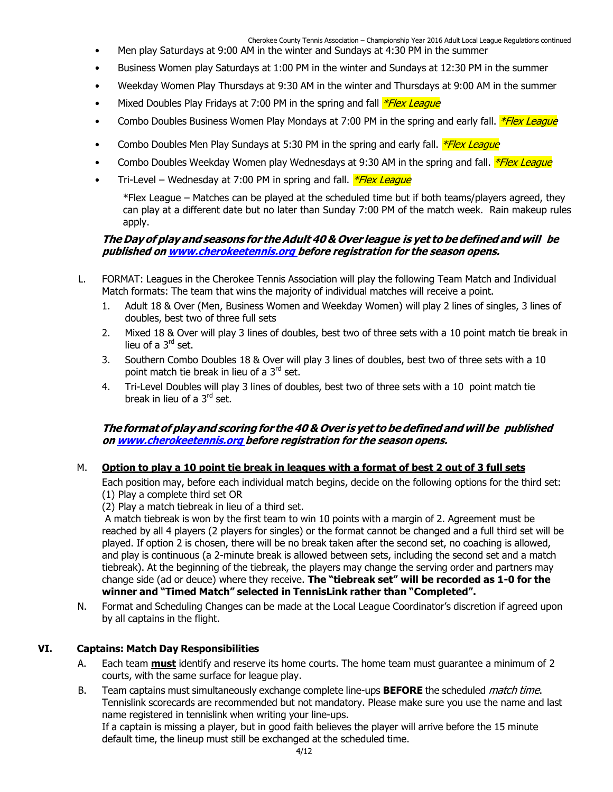Cherokee County Tennis Association – Championship Year 2016 Adult Local League Regulations continued

- Men play Saturdays at 9:00 AM in the winter and Sundays at 4:30 PM in the summer
- Business Women play Saturdays at 1:00 PM in the winter and Sundays at 12:30 PM in the summer
- Weekday Women Play Thursdays at 9:30 AM in the winter and Thursdays at 9:00 AM in the summer
- Mixed Doubles Play Fridays at 7:00 PM in the spring and fall *\*Flex League*
- Combo Doubles Business Women Play Mondays at 7:00 PM in the spring and early fall. *\*Flex League*
- Combo Doubles Men Play Sundays at 5:30 PM in the spring and early fall. *\*Flex League*
- Combo Doubles Weekday Women play Wednesdays at 9:30 AM in the spring and fall. *\*Flex League*
- Tri-Level Wednesday at 7:00 PM in spring and fall. *\*Flex League*

\*Flex League – Matches can be played at the scheduled time but if both teams/players agreed, they can play at a different date but no later than Sunday 7:00 PM of the match week. Rain makeup rules apply.

#### **The Dayof play and seasons for theAdult 40 & Over league is yet to be defined and will be published on [www.cherokeetennis.org](http://www.cherokeetennis.org/) before registration for the season opens.**

- L. FORMAT: Leagues in the Cherokee Tennis Association will play the following Team Match and Individual Match formats: The team that wins the majority of individual matches will receive a point.
	- 1. Adult 18 & Over (Men, Business Women and Weekday Women) will play 2 lines of singles, 3 lines of doubles, best two of three full sets
	- 2. Mixed 18 & Over will play 3 lines of doubles, best two of three sets with a 10 point match tie break in lieu of a 3<sup>rd</sup> set.
	- 3. Southern Combo Doubles 18 & Over will play 3 lines of doubles, best two of three sets with a 10 point match tie break in lieu of a 3<sup>rd</sup> set.
	- 4. Tri-Level Doubles will play 3 lines of doubles, best two of three sets with a 10 point match tie break in lieu of a 3rd set.

#### **The format of play and scoring for the 40 & Over is yet to be definedand will be published on [www.cherokeetennis.org](http://www.cherokeetennis.org/) before registration for the season opens.**

#### M. Option to play a 10 point tie break in leagues with a format of best 2 out of 3 full sets

Each position may, before each individual match begins, decide on the following options for the third set: (1) Play a complete third set OR

(2) Play a match tiebreak in lieu of a third set.

A match tiebreak is won by the first team to win 10 points with a margin of 2. Agreement must be reached by all 4 players (2 players for singles) or the format cannot be changed and a full third set will be played. If option 2 is chosen, there will be no break taken after the second set, no coaching is allowed, and play is continuous (a 2-minute break is allowed between sets, including the second set and a match tiebreak). At the beginning of the tiebreak, the players may change the serving order and partners may change side (ad or deuce) where they receive. **The "tiebreak set" will be recorded as 1-0 for the winner and "Timed Match" selected in TennisLink rather than "Completed".**

N. Format and Scheduling Changes can be made at the Local League Coordinator's discretion if agreed upon by all captains in the flight.

#### **VI. Captains: Match Day Responsibilities**

- A. Each team **must** identify and reserve its home courts. The home team must guarantee a minimum of 2 courts, with the same surface for league play.
- B. Team captains must simultaneously exchange complete line-ups **BEFORE** the scheduled match time. Tennislink scorecards are recommended but not mandatory. Please make sure you use the name and last name registered in tennislink when writing your line-ups.

If a captain is missing a player, but in good faith believes the player will arrive before the 15 minute default time, the lineup must still be exchanged at the scheduled time.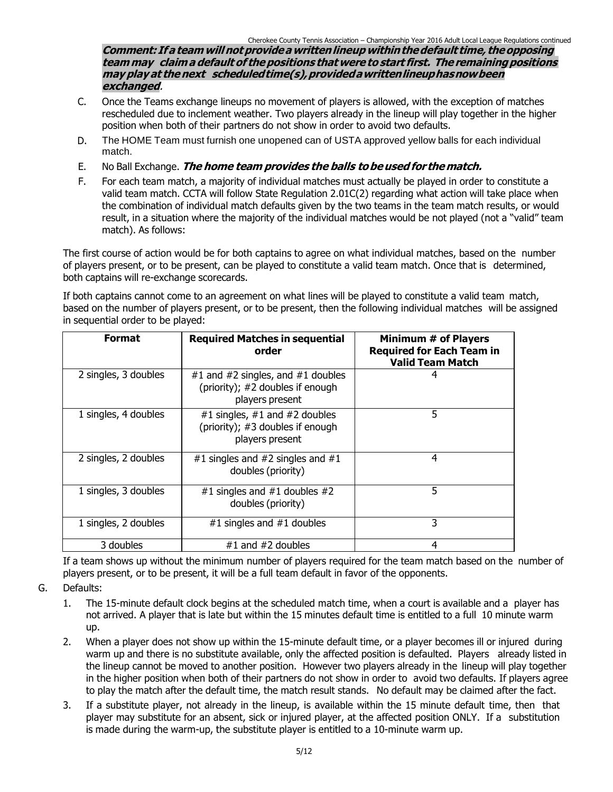**Comment: Ifa teamwillnotprovideawrittenlineup withinthedefault time, theopposing teammay claima default of thepositions thatwere to start first. The remainingpositions may play at thenext scheduledtime(s),providedawrittenlineuphasnowbeen exchanged**.

- C. Once the Teams exchange lineups no movement of players is allowed, with the exception of matches rescheduled due to inclement weather. Two players already in the lineup will play together in the higher position when both of their partners do not show in order to avoid two defaults.
- D. The HOME Team must furnish one unopened can of USTA approved yellow balls for each individual match.
- E. No Ball Exchange. **The home team provides the balls tobeusedfor thematch.**
- F. For each team match, a majority of individual matches must actually be played in order to constitute a valid team match. CCTA will follow State Regulation 2.01C(2) regarding what action will take place when the combination of individual match defaults given by the two teams in the team match results, or would result, in a situation where the majority of the individual matches would be not played (not a "valid" team match). As follows:

The first course of action would be for both captains to agree on what individual matches, based on the number of players present, or to be present, can be played to constitute a valid team match. Once that is determined, both captains will re-exchange scorecards.

If both captains cannot come to an agreement on what lines will be played to constitute a valid team match, based on the number of players present, or to be present, then the following individual matches will be assigned in sequential order to be played:

| <b>Format</b>        | <b>Required Matches in sequential</b><br>order                                           | Minimum # of Players<br><b>Required for Each Team in</b><br><b>Valid Team Match</b> |  |  |
|----------------------|------------------------------------------------------------------------------------------|-------------------------------------------------------------------------------------|--|--|
| 2 singles, 3 doubles | #1 and #2 singles, and #1 doubles<br>(priority); #2 doubles if enough<br>players present | 4                                                                                   |  |  |
| 1 singles, 4 doubles | #1 singles, #1 and #2 doubles<br>(priority); #3 doubles if enough<br>players present     | 5                                                                                   |  |  |
| 2 singles, 2 doubles | #1 singles and #2 singles and #1<br>doubles (priority)                                   | 4                                                                                   |  |  |
| 1 singles, 3 doubles | #1 singles and #1 doubles #2<br>doubles (priority)                                       | 5                                                                                   |  |  |
| 1 singles, 2 doubles | #1 singles and $#1$ doubles                                                              | 3                                                                                   |  |  |
| 3 doubles            | $#1$ and $#2$ doubles                                                                    | 4                                                                                   |  |  |

If a team shows up without the minimum number of players required for the team match based on the number of players present, or to be present, it will be a full team default in favor of the opponents.

- G. Defaults:
	- 1. The 15-minute default clock begins at the scheduled match time, when a court is available and a player has not arrived. A player that is late but within the 15 minutes default time is entitled to a full 10 minute warm up.
	- 2. When a player does not show up within the 15-minute default time, or a player becomes ill or injured during warm up and there is no substitute available, only the affected position is defaulted. Players already listed in the lineup cannot be moved to another position. However two players already in the lineup will play together in the higher position when both of their partners do not show in order to avoid two defaults. If players agree to play the match after the default time, the match result stands. No default may be claimed after the fact.
	- 3. If a substitute player, not already in the lineup, is available within the 15 minute default time, then that player may substitute for an absent, sick or injured player, at the affected position ONLY. If a substitution is made during the warm-up, the substitute player is entitled to a 10-minute warm up.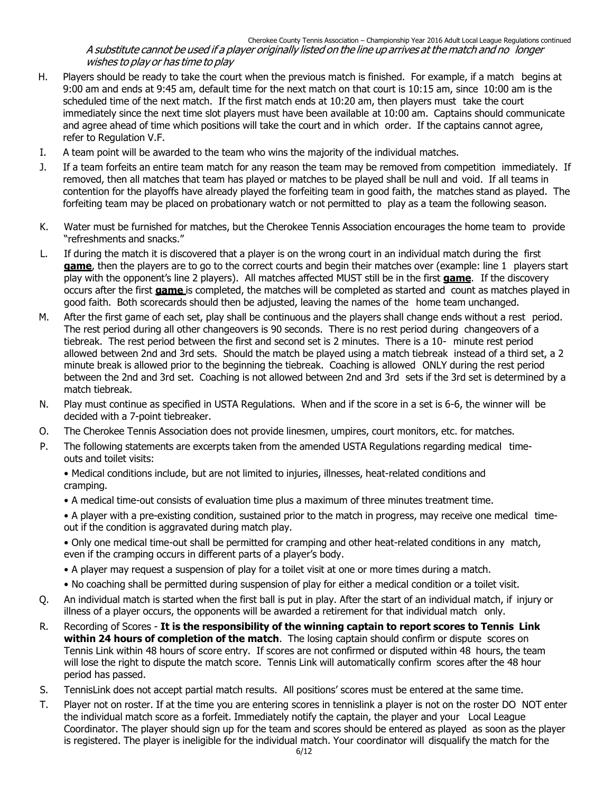#### Cherokee County Tennis Association – Championship Year 2016 Adult Local League Regulations continued A substitute cannot be used if <sup>a</sup> player originally listed on the line up arrives at the match and no longer wishes to play or has time to play

- H. Players should be ready to take the court when the previous match is finished. For example, if a match begins at 9:00 am and ends at 9:45 am, default time for the next match on that court is 10:15 am, since 10:00 am is the scheduled time of the next match. If the first match ends at 10:20 am, then players must take the court immediately since the next time slot players must have been available at 10:00 am. Captains should communicate and agree ahead of time which positions will take the court and in which order. If the captains cannot agree, refer to Regulation V.F.
- I. A team point will be awarded to the team who wins the majority of the individual matches.
- J. If a team forfeits an entire team match for any reason the team may be removed from competition immediately. If removed, then all matches that team has played or matches to be played shall be null and void. If all teams in contention for the playoffs have already played the forfeiting team in good faith, the matches stand as played. The forfeiting team may be placed on probationary watch or not permitted to play as a team the following season.
- K. Water must be furnished for matches, but the Cherokee Tennis Association encourages the home team to provide "refreshments and snacks."
- L. If during the match it is discovered that a player is on the wrong court in an individual match during the first **game**, then the players are to go to the correct courts and begin their matches over (example: line 1 players start play with the opponent's line 2 players). All matches affected MUST still be in the first **game**. If the discovery occurs after the first **game** is completed, the matches will be completed as started and count as matches played in good faith. Both scorecards should then be adjusted, leaving the names of the home team unchanged.
- M. After the first game of each set, play shall be continuous and the players shall change ends without a rest period. The rest period during all other changeovers is 90 seconds. There is no rest period during changeovers of a tiebreak. The rest period between the first and second set is 2 minutes. There is a 10- minute rest period allowed between 2nd and 3rd sets. Should the match be played using a match tiebreak instead of a third set, a 2 minute break is allowed prior to the beginning the tiebreak. Coaching is allowed ONLY during the rest period between the 2nd and 3rd set. Coaching is not allowed between 2nd and 3rd sets if the 3rd set is determined by a match tiebreak.
- N. Play must continue as specified in USTA Regulations. When and if the score in a set is 6-6, the winner will be decided with a 7-point tiebreaker.
- O. The Cherokee Tennis Association does not provide linesmen, umpires, court monitors, etc. for matches.
- P. The following statements are excerpts taken from the amended USTA Regulations regarding medical timeouts and toilet visits:
	- Medical conditions include, but are not limited to injuries, illnesses, heat-related conditions and cramping.
	- A medical time-out consists of evaluation time plus a maximum of three minutes treatment time.
	- A player with a pre-existing condition, sustained prior to the match in progress, may receive one medical timeout if the condition is aggravated during match play.
	- Only one medical time-out shall be permitted for cramping and other heat-related conditions in any match, even if the cramping occurs in different parts of a player's body.
	- A player may request a suspension of play for a toilet visit at one or more times during a match.
	- No coaching shall be permitted during suspension of play for either a medical condition or a toilet visit.
- Q. An individual match is started when the first ball is put in play. After the start of an individual match, if injury or illness of a player occurs, the opponents will be awarded a retirement for that individual match only.
- R. Recording of Scores **It is the responsibility of the winning captain to report scores to Tennis Link within 24 hours of completion of the match**. The losing captain should confirm or dispute scores on Tennis Link within 48 hours of score entry. If scores are not confirmed or disputed within 48 hours, the team will lose the right to dispute the match score. Tennis Link will automatically confirm scores after the 48 hour period has passed.
- S. TennisLink does not accept partial match results. All positions' scores must be entered at the same time.
- T. Player not on roster. If at the time you are entering scores in tennislink a player is not on the roster DO NOT enter the individual match score as a forfeit. Immediately notify the captain, the player and your Local League Coordinator. The player should sign up for the team and scores should be entered as played as soon as the player is registered. The player is ineligible for the individual match. Your coordinator will disqualify the match for the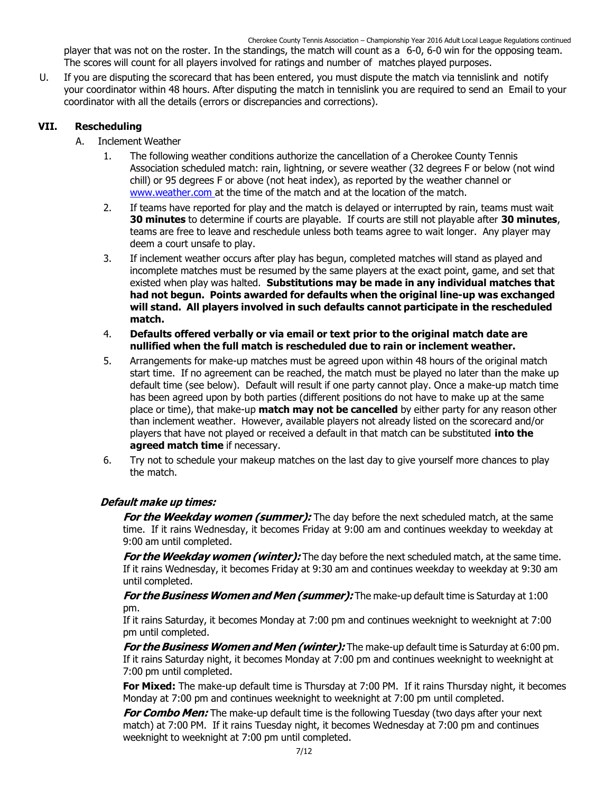Cherokee County Tennis Association – Championship Year 2016 Adult Local League Regulations continued

player that was not on the roster. In the standings, the match will count as a 6-0, 6-0 win for the opposing team. The scores will count for all players involved for ratings and number of matches played purposes.

U. If you are disputing the scorecard that has been entered, you must dispute the match via tennislink and notify your coordinator within 48 hours. After disputing the match in tennislink you are required to send an Email to your coordinator with all the details (errors or discrepancies and corrections).

#### **VII. Rescheduling**

- A. Inclement Weather
	- 1. The following weather conditions authorize the cancellation of a Cherokee County Tennis Association scheduled match: rain, lightning, or severe weather (32 degrees F or below (not wind chill) or 95 degrees F or above (not heat index), as reported by the weather channel or [www.weather.com](http://www.weather.com/) at the time of the match and at the location of the match.
	- 2. If teams have reported for play and the match is delayed or interrupted by rain, teams must wait **30 minutes** to determine if courts are playable. If courts are still not playable after **30 minutes**, teams are free to leave and reschedule unless both teams agree to wait longer. Any player may deem a court unsafe to play.
	- 3. If inclement weather occurs after play has begun, completed matches will stand as played and incomplete matches must be resumed by the same players at the exact point, game, and set that existed when play was halted. **Substitutions may be made in any individual matches that had not begun. Points awarded for defaults when the original line-up was exchanged will stand. All players involved in such defaults cannot participate in the rescheduled match.**
	- 4. **Defaults offered verbally or via email or text prior to the original match date are nullified when the full match is rescheduled due to rain or inclement weather.**
	- 5. Arrangements for make-up matches must be agreed upon within 48 hours of the original match start time. If no agreement can be reached, the match must be played no later than the make up default time (see below). Default will result if one party cannot play. Once a make-up match time has been agreed upon by both parties (different positions do not have to make up at the same place or time), that make-up **match may not be cancelled** by either party for any reason other than inclement weather. However, available players not already listed on the scorecard and/or players that have not played or received a default in that match can be substituted **into the agreed match time** if necessary.
	- 6. Try not to schedule your makeup matches on the last day to give yourself more chances to play the match.

#### **Default make up times:**

**For the Weekday women (summer):** The day before the next scheduled match, at the same time. If it rains Wednesday, it becomes Friday at 9:00 am and continues weekday to weekday at 9:00 am until completed.

**For the Weekday women (winter):** The day before the next scheduled match, at the same time. If it rains Wednesday, it becomes Friday at 9:30 am and continues weekday to weekday at 9:30 am until completed.

**For the Business Women and Men (summer):** The make-up default time is Saturday at 1:00 pm.

If it rains Saturday, it becomes Monday at 7:00 pm and continues weeknight to weeknight at 7:00 pm until completed.

**For the Business Women and Men (winter):** The make-up default time is Saturday at 6:00 pm. If it rains Saturday night, it becomes Monday at 7:00 pm and continues weeknight to weeknight at 7:00 pm until completed.

**For Mixed:** The make-up default time is Thursday at 7:00 PM. If it rains Thursday night, it becomes Monday at 7:00 pm and continues weeknight to weeknight at 7:00 pm until completed.

**For Combo Men:** The make-up default time is the following Tuesday (two days after your next match) at 7:00 PM. If it rains Tuesday night, it becomes Wednesday at 7:00 pm and continues weeknight to weeknight at 7:00 pm until completed.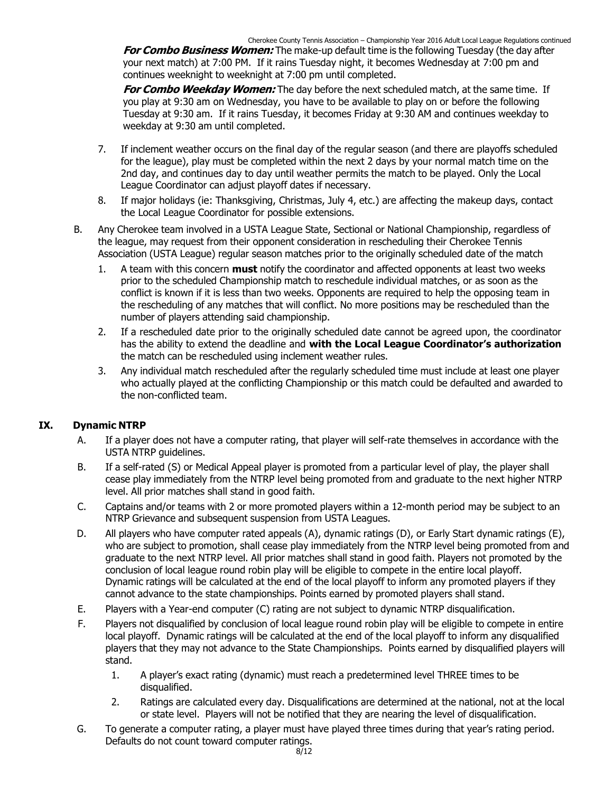**For Combo Business Women:** The make-up default time is the following Tuesday (the day after your next match) at 7:00 PM. If it rains Tuesday night, it becomes Wednesday at 7:00 pm and continues weeknight to weeknight at 7:00 pm until completed.

**For Combo Weekday Women:** The day before the next scheduled match, at the same time. If you play at 9:30 am on Wednesday, you have to be available to play on or before the following Tuesday at 9:30 am. If it rains Tuesday, it becomes Friday at 9:30 AM and continues weekday to weekday at 9:30 am until completed.

- 7. If inclement weather occurs on the final day of the regular season (and there are playoffs scheduled for the league), play must be completed within the next 2 days by your normal match time on the 2nd day, and continues day to day until weather permits the match to be played. Only the Local League Coordinator can adjust playoff dates if necessary.
- 8. If major holidays (ie: Thanksgiving, Christmas, July 4, etc.) are affecting the makeup days, contact the Local League Coordinator for possible extensions.
- B. Any Cherokee team involved in a USTA League State, Sectional or National Championship, regardless of the league, may request from their opponent consideration in rescheduling their Cherokee Tennis Association (USTA League) regular season matches prior to the originally scheduled date of the match
	- 1. A team with this concern **must** notify the coordinator and affected opponents at least two weeks prior to the scheduled Championship match to reschedule individual matches, or as soon as the conflict is known if it is less than two weeks. Opponents are required to help the opposing team in the rescheduling of any matches that will conflict. No more positions may be rescheduled than the number of players attending said championship.
	- 2. If a rescheduled date prior to the originally scheduled date cannot be agreed upon, the coordinator has the ability to extend the deadline and **with the Local League Coordinator's authorization** the match can be rescheduled using inclement weather rules.
	- 3. Any individual match rescheduled after the regularly scheduled time must include at least one player who actually played at the conflicting Championship or this match could be defaulted and awarded to the non-conflicted team.

#### **IX. Dynamic NTRP**

- A. If a player does not have a computer rating, that player will self-rate themselves in accordance with the USTA NTRP guidelines.
- B. If a self-rated (S) or Medical Appeal player is promoted from a particular level of play, the player shall cease play immediately from the NTRP level being promoted from and graduate to the next higher NTRP level. All prior matches shall stand in good faith.
- C. Captains and/or teams with 2 or more promoted players within a 12-month period may be subject to an NTRP Grievance and subsequent suspension from USTA Leagues.
- D. All players who have computer rated appeals (A), dynamic ratings (D), or Early Start dynamic ratings (E), who are subject to promotion, shall cease play immediately from the NTRP level being promoted from and graduate to the next NTRP level. All prior matches shall stand in good faith. Players not promoted by the conclusion of local league round robin play will be eligible to compete in the entire local playoff. Dynamic ratings will be calculated at the end of the local playoff to inform any promoted players if they cannot advance to the state championships. Points earned by promoted players shall stand.
- E. Players with a Year-end computer (C) rating are not subject to dynamic NTRP disqualification.
- F. Players not disqualified by conclusion of local league round robin play will be eligible to compete in entire local playoff. Dynamic ratings will be calculated at the end of the local playoff to inform any disqualified players that they may not advance to the State Championships. Points earned by disqualified players will stand.
	- 1. A player's exact rating (dynamic) must reach a predetermined level THREE times to be disqualified.
	- 2. Ratings are calculated every day. Disqualifications are determined at the national, not at the local or state level. Players will not be notified that they are nearing the level of disqualification.
- G. To generate a computer rating, a player must have played three times during that year's rating period. Defaults do not count toward computer ratings.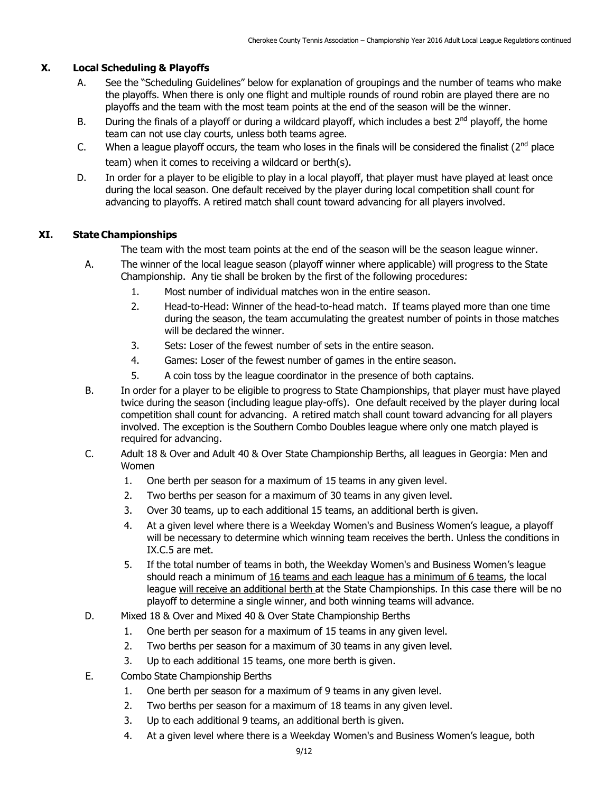#### **X. Local Scheduling & Playoffs**

- A. See the "Scheduling Guidelines" below for explanation of groupings and the number of teams who make the playoffs. When there is only one flight and multiple rounds of round robin are played there are no playoffs and the team with the most team points at the end of the season will be the winner.
- B. During the finals of a playoff or during a wildcard playoff, which includes a best  $2^{nd}$  playoff, the home team can not use clay courts, unless both teams agree.
- C. When a league playoff occurs, the team who loses in the finals will be considered the finalist  $(2^{nd}$  place team) when it comes to receiving a wildcard or berth(s).
- D. In order for a player to be eligible to play in a local playoff, that player must have played at least once during the local season. One default received by the player during local competition shall count for advancing to playoffs. A retired match shall count toward advancing for all players involved.

#### **XI. State Championships**

The team with the most team points at the end of the season will be the season league winner.

- A. The winner of the local league season (playoff winner where applicable) will progress to the State Championship. Any tie shall be broken by the first of the following procedures:
	- 1. Most number of individual matches won in the entire season.
	- 2. Head-to-Head: Winner of the head-to-head match. If teams played more than one time during the season, the team accumulating the greatest number of points in those matches will be declared the winner.
	- 3. Sets: Loser of the fewest number of sets in the entire season.
	- 4. Games: Loser of the fewest number of games in the entire season.
	- 5. A coin toss by the league coordinator in the presence of both captains.
- B. In order for a player to be eligible to progress to State Championships, that player must have played twice during the season (including league play-offs). One default received by the player during local competition shall count for advancing. A retired match shall count toward advancing for all players involved. The exception is the Southern Combo Doubles league where only one match played is required for advancing.
- C. Adult 18 & Over and Adult 40 & Over State Championship Berths, all leagues in Georgia: Men and Women
	- 1. One berth per season for a maximum of 15 teams in any given level.
	- 2. Two berths per season for a maximum of 30 teams in any given level.
	- 3. Over 30 teams, up to each additional 15 teams, an additional berth is given.
	- 4. At a given level where there is a Weekday Women's and Business Women's league, a playoff will be necessary to determine which winning team receives the berth. Unless the conditions in IX.C.5 are met.
	- 5. If the total number of teams in both, the Weekday Women's and Business Women's league should reach a minimum of 16 teams and each league has a minimum of 6 teams, the local league will receive an additional berth at the State Championships. In this case there will be no playoff to determine a single winner, and both winning teams will advance.
- D. Mixed 18 & Over and Mixed 40 & Over State Championship Berths
	- 1. One berth per season for a maximum of 15 teams in any given level.
	- 2. Two berths per season for a maximum of 30 teams in any given level.
	- 3. Up to each additional 15 teams, one more berth is given.
- E. Combo State Championship Berths
	- 1. One berth per season for a maximum of 9 teams in any given level.
	- 2. Two berths per season for a maximum of 18 teams in any given level.
	- 3. Up to each additional 9 teams, an additional berth is given.
	- 4. At a given level where there is a Weekday Women's and Business Women's league, both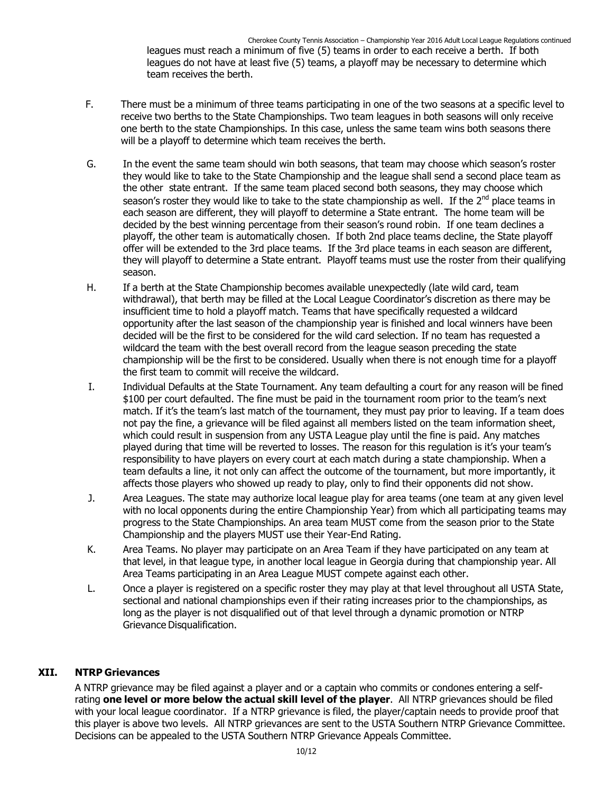Cherokee County Tennis Association – Championship Year 2016 Adult Local League Regulations continued leagues must reach a minimum of five (5) teams in order to each receive a berth. If both leagues do not have at least five (5) teams, a playoff may be necessary to determine which team receives the berth.

- F. There must be a minimum of three teams participating in one of the two seasons at a specific level to receive two berths to the State Championships. Two team leagues in both seasons will only receive one berth to the state Championships. In this case, unless the same team wins both seasons there will be a playoff to determine which team receives the berth.
- G. In the event the same team should win both seasons, that team may choose which season's roster they would like to take to the State Championship and the league shall send a second place team as the other state entrant. If the same team placed second both seasons, they may choose which season's roster they would like to take to the state championship as well. If the 2<sup>nd</sup> place teams in each season are different, they will playoff to determine a State entrant. The home team will be decided by the best winning percentage from their season's round robin. If one team declines a playoff, the other team is automatically chosen. If both 2nd place teams decline, the State playoff offer will be extended to the 3rd place teams. If the 3rd place teams in each season are different, they will playoff to determine a State entrant. Playoff teams must use the roster from their qualifying season.
- H. If a berth at the State Championship becomes available unexpectedly (late wild card, team withdrawal), that berth may be filled at the Local League Coordinator's discretion as there may be insufficient time to hold a playoff match. Teams that have specifically requested a wildcard opportunity after the last season of the championship year is finished and local winners have been decided will be the first to be considered for the wild card selection. If no team has requested a wildcard the team with the best overall record from the league season preceding the state championship will be the first to be considered. Usually when there is not enough time for a playoff the first team to commit will receive the wildcard.
- I. Individual Defaults at the State Tournament. Any team defaulting a court for any reason will be fined \$100 per court defaulted. The fine must be paid in the tournament room prior to the team's next match. If it's the team's last match of the tournament, they must pay prior to leaving. If a team does not pay the fine, a grievance will be filed against all members listed on the team information sheet, which could result in suspension from any USTA League play until the fine is paid. Any matches played during that time will be reverted to losses. The reason for this regulation is it's your team's responsibility to have players on every court at each match during a state championship. When a team defaults a line, it not only can affect the outcome of the tournament, but more importantly, it affects those players who showed up ready to play, only to find their opponents did not show.
- J. Area Leagues. The state may authorize local league play for area teams (one team at any given level with no local opponents during the entire Championship Year) from which all participating teams may progress to the State Championships. An area team MUST come from the season prior to the State Championship and the players MUST use their Year-End Rating.
- K. Area Teams. No player may participate on an Area Team if they have participated on any team at that level, in that league type, in another local league in Georgia during that championship year. All Area Teams participating in an Area League MUST compete against each other.
- L. Once a player is registered on a specific roster they may play at that level throughout all USTA State, sectional and national championships even if their rating increases prior to the championships, as long as the player is not disqualified out of that level through a dynamic promotion or NTRP Grievance Disqualification.

#### **XII. NTRP Grievances**

A NTRP grievance may be filed against a player and or a captain who commits or condones entering a selfrating **one level or more below the actual skill level of the player**. All NTRP grievances should be filed with your local league coordinator. If a NTRP grievance is filed, the player/captain needs to provide proof that this player is above two levels. All NTRP grievances are sent to the USTA Southern NTRP Grievance Committee. Decisions can be appealed to the USTA Southern NTRP Grievance Appeals Committee.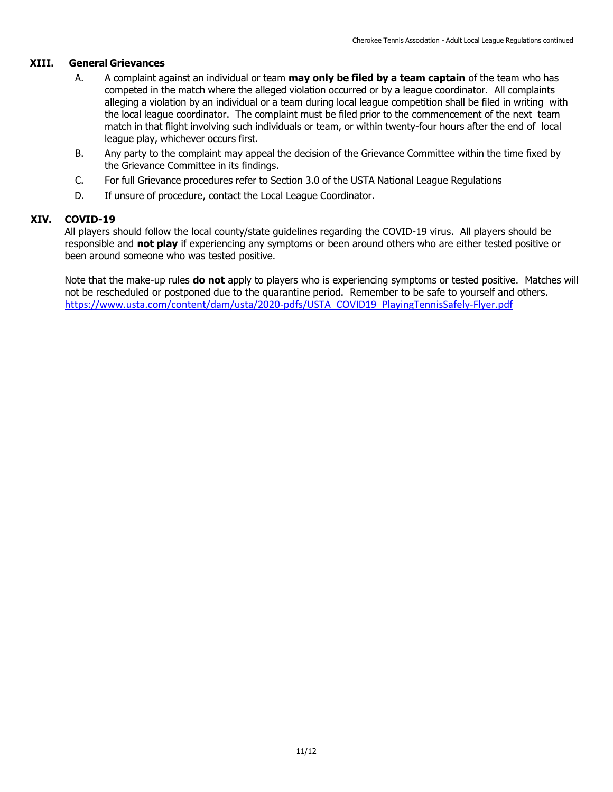#### **XIII. General Grievances**

- A. A complaint against an individual or team **may only be filed by a team captain** of the team who has competed in the match where the alleged violation occurred or by a league coordinator. All complaints alleging a violation by an individual or a team during local league competition shall be filed in writing with the local league coordinator. The complaint must be filed prior to the commencement of the next team match in that flight involving such individuals or team, or within twenty-four hours after the end of local league play, whichever occurs first.
- B. Any party to the complaint may appeal the decision of the Grievance Committee within the time fixed by the Grievance Committee in its findings.
- C. For full Grievance procedures refer to Section 3.0 of the USTA National League Regulations
- D. If unsure of procedure, contact the Local League Coordinator.

#### **XIV. COVID-19**

All players should follow the local county/state guidelines regarding the COVID-19 virus. All players should be responsible and **not play** if experiencing any symptoms or been around others who are either tested positive or been around someone who was tested positive.

Note that the make-up rules **do not** apply to players who is experiencing symptoms or tested positive. Matches will not be rescheduled or postponed due to the quarantine period. Remember to be safe to yourself and others. [https://www.usta.com/content/dam/usta/2020-pdfs/USTA\\_COVID19\\_PlayingTennisSafely-Flyer.pdf](https://www.usta.com/content/dam/usta/2020-pdfs/USTA_COVID19_PlayingTennisSafely-Flyer.pdf)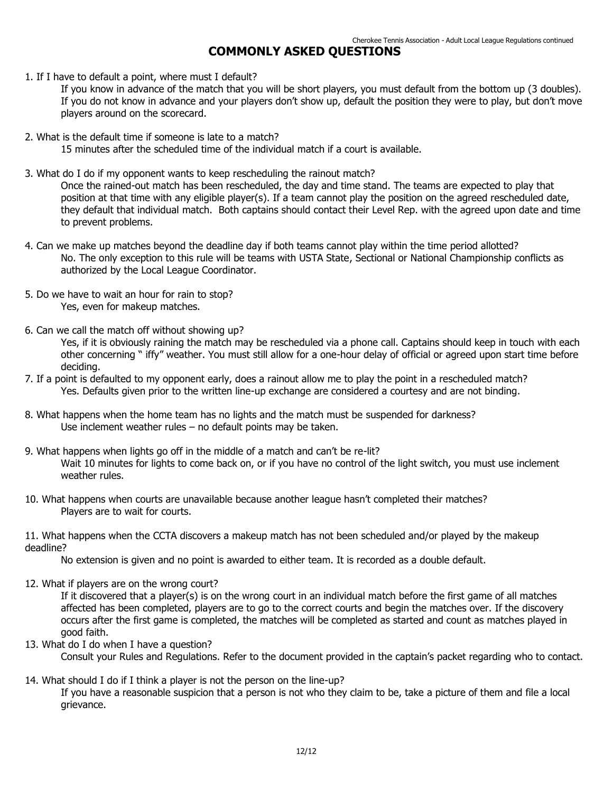#### **COMMONLY ASKED QUESTIONS**

1. If I have to default a point, where must I default?

If you know in advance of the match that you will be short players, you must default from the bottom up (3 doubles). If you do not know in advance and your players don't show up, default the position they were to play, but don't move players around on the scorecard.

2. What is the default time if someone is late to a match?

15 minutes after the scheduled time of the individual match if a court is available.

3. What do I do if my opponent wants to keep rescheduling the rainout match?

Once the rained-out match has been rescheduled, the day and time stand. The teams are expected to play that position at that time with any eligible player(s). If a team cannot play the position on the agreed rescheduled date, they default that individual match. Both captains should contact their Level Rep. with the agreed upon date and time to prevent problems.

- 4. Can we make up matches beyond the deadline day if both teams cannot play within the time period allotted? No. The only exception to this rule will be teams with USTA State, Sectional or National Championship conflicts as authorized by the Local League Coordinator.
- 5. Do we have to wait an hour for rain to stop? Yes, even for makeup matches.
- 6. Can we call the match off without showing up?

Yes, if it is obviously raining the match may be rescheduled via a phone call. Captains should keep in touch with each other concerning " iffy" weather. You must still allow for a one-hour delay of official or agreed upon start time before deciding.

- 7. If a point is defaulted to my opponent early, does a rainout allow me to play the point in a rescheduled match? Yes. Defaults given prior to the written line-up exchange are considered a courtesy and are not binding.
- 8. What happens when the home team has no lights and the match must be suspended for darkness? Use inclement weather rules – no default points may be taken.
- 9. What happens when lights go off in the middle of a match and can't be re-lit? Wait 10 minutes for lights to come back on, or if you have no control of the light switch, you must use inclement weather rules.
- 10. What happens when courts are unavailable because another league hasn't completed their matches? Players are to wait for courts.

11. What happens when the CCTA discovers a makeup match has not been scheduled and/or played by the makeup deadline?

No extension is given and no point is awarded to either team. It is recorded as a double default.

12. What if players are on the wrong court?

If it discovered that a player(s) is on the wrong court in an individual match before the first game of all matches affected has been completed, players are to go to the correct courts and begin the matches over. If the discovery occurs after the first game is completed, the matches will be completed as started and count as matches played in good faith.

- 13. What do I do when I have a question?
	- Consult your Rules and Regulations. Refer to the document provided in the captain's packet regarding who to contact.
- 14. What should I do if I think a player is not the person on the line-up?

If you have a reasonable suspicion that a person is not who they claim to be, take a picture of them and file a local grievance.